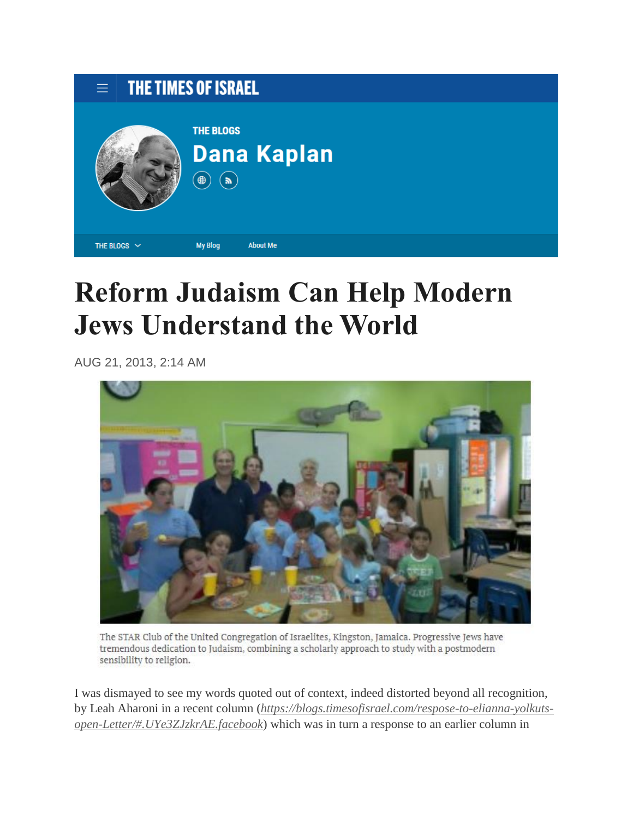| $\equiv$ THE TIMES OF ISRAEL |                                       |                    |
|------------------------------|---------------------------------------|--------------------|
|                              | <b>THE BLOGS</b><br>⊕<br>$\mathbf{a}$ | <b>Dana Kaplan</b> |
| THE BLOGS $\sim$             | <b>My Blog</b>                        | <b>About Me</b>    |

## **Reform Judaism Can Help Modern Jews Understand the World**

AUG 21, 2013, 2:14 AM



The STAR Club of the United Congregation of Israelites, Kingston, Jamaica. Progressive Jews have tremendous dedication to Judaism, combining a scholarly approach to study with a postmodern sensibility to religion.

I was dismayed to see my words quoted out of context, indeed distorted beyond all recognition, by Leah Aharoni in a recent column (*[https://blogs.timesofisrael.com/respose-to-elianna-yolkuts](https://blogs.timesofisrael.com/respose-to-elianna-yolkuts-open-Letter/#.UYe3ZJzkrAE.facebook)[open-Letter/#.UYe3ZJzkrAE.facebook](https://blogs.timesofisrael.com/respose-to-elianna-yolkuts-open-Letter/#.UYe3ZJzkrAE.facebook)*) which was in turn a response to an earlier column in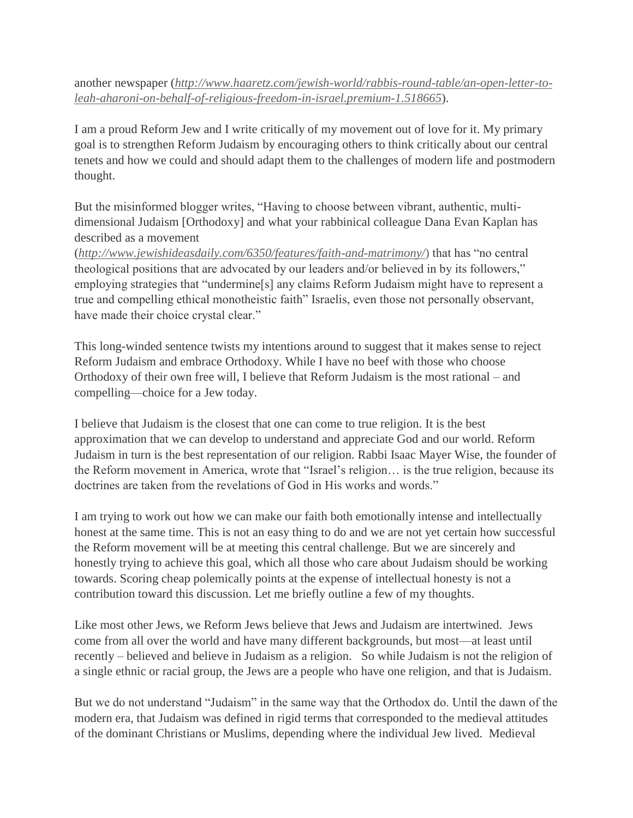another newspaper (*[http://www.haaretz.com/jewish-world/rabbis-round-table/an-open-letter-to](http://www.haaretz.com/jewish-world/rabbis-round-table/an-open-letter-to-leah-aharoni-on-behalf-of-religious-freedom-in-israel.premium-1.518665)[leah-aharoni-on-behalf-of-religious-freedom-in-israel.premium-1.518665](http://www.haaretz.com/jewish-world/rabbis-round-table/an-open-letter-to-leah-aharoni-on-behalf-of-religious-freedom-in-israel.premium-1.518665)*).

I am a proud Reform Jew and I write critically of my movement out of love for it. My primary goal is to strengthen Reform Judaism by encouraging others to think critically about our central tenets and how we could and should adapt them to the challenges of modern life and postmodern thought.

But the misinformed blogger writes, "Having to choose between vibrant, authentic, multidimensional Judaism [Orthodoxy] and what your rabbinical colleague Dana Evan Kaplan has described as a movement

(*<http://www.jewishideasdaily.com/6350/features/faith-and-matrimony/>*) that has "no central theological positions that are advocated by our leaders and/or believed in by its followers," employing strategies that "undermine[s] any claims Reform Judaism might have to represent a true and compelling ethical monotheistic faith" Israelis, even those not personally observant, have made their choice crystal clear."

This long-winded sentence twists my intentions around to suggest that it makes sense to reject Reform Judaism and embrace Orthodoxy. While I have no beef with those who choose Orthodoxy of their own free will, I believe that Reform Judaism is the most rational – and compelling—choice for a Jew today.

I believe that Judaism is the closest that one can come to true religion. It is the best approximation that we can develop to understand and appreciate God and our world. Reform Judaism in turn is the best representation of our religion. Rabbi Isaac Mayer Wise, the founder of the Reform movement in America, wrote that "Israel's religion… is the true religion, because its doctrines are taken from the revelations of God in His works and words."

I am trying to work out how we can make our faith both emotionally intense and intellectually honest at the same time. This is not an easy thing to do and we are not yet certain how successful the Reform movement will be at meeting this central challenge. But we are sincerely and honestly trying to achieve this goal, which all those who care about Judaism should be working towards. Scoring cheap polemically points at the expense of intellectual honesty is not a contribution toward this discussion. Let me briefly outline a few of my thoughts.

Like most other Jews, we Reform Jews believe that Jews and Judaism are intertwined. Jews come from all over the world and have many different backgrounds, but most—at least until recently – believed and believe in Judaism as a religion. So while Judaism is not the religion of a single ethnic or racial group, the Jews are a people who have one religion, and that is Judaism.

But we do not understand "Judaism" in the same way that the Orthodox do. Until the dawn of the modern era, that Judaism was defined in rigid terms that corresponded to the medieval attitudes of the dominant Christians or Muslims, depending where the individual Jew lived. Medieval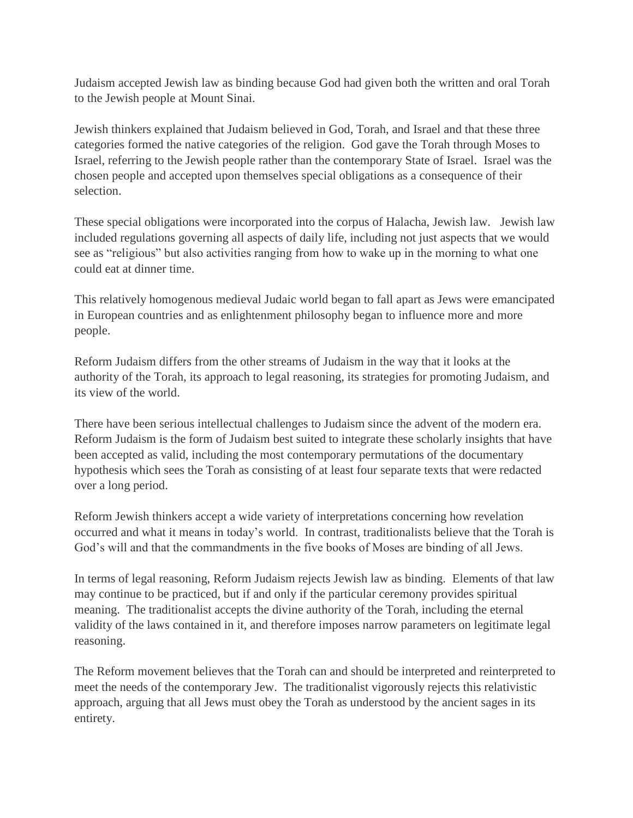Judaism accepted Jewish law as binding because God had given both the written and oral Torah to the Jewish people at Mount Sinai.

Jewish thinkers explained that Judaism believed in God, Torah, and Israel and that these three categories formed the native categories of the religion. God gave the Torah through Moses to Israel, referring to the Jewish people rather than the contemporary State of Israel. Israel was the chosen people and accepted upon themselves special obligations as a consequence of their selection.

These special obligations were incorporated into the corpus of Halacha, Jewish law. Jewish law included regulations governing all aspects of daily life, including not just aspects that we would see as "religious" but also activities ranging from how to wake up in the morning to what one could eat at dinner time.

This relatively homogenous medieval Judaic world began to fall apart as Jews were emancipated in European countries and as enlightenment philosophy began to influence more and more people.

Reform Judaism differs from the other streams of Judaism in the way that it looks at the authority of the Torah, its approach to legal reasoning, its strategies for promoting Judaism, and its view of the world.

There have been serious intellectual challenges to Judaism since the advent of the modern era. Reform Judaism is the form of Judaism best suited to integrate these scholarly insights that have been accepted as valid, including the most contemporary permutations of the documentary hypothesis which sees the Torah as consisting of at least four separate texts that were redacted over a long period.

Reform Jewish thinkers accept a wide variety of interpretations concerning how revelation occurred and what it means in today's world. In contrast, traditionalists believe that the Torah is God's will and that the commandments in the five books of Moses are binding of all Jews.

In terms of legal reasoning, Reform Judaism rejects Jewish law as binding. Elements of that law may continue to be practiced, but if and only if the particular ceremony provides spiritual meaning. The traditionalist accepts the divine authority of the Torah, including the eternal validity of the laws contained in it, and therefore imposes narrow parameters on legitimate legal reasoning.

The Reform movement believes that the Torah can and should be interpreted and reinterpreted to meet the needs of the contemporary Jew. The traditionalist vigorously rejects this relativistic approach, arguing that all Jews must obey the Torah as understood by the ancient sages in its entirety.